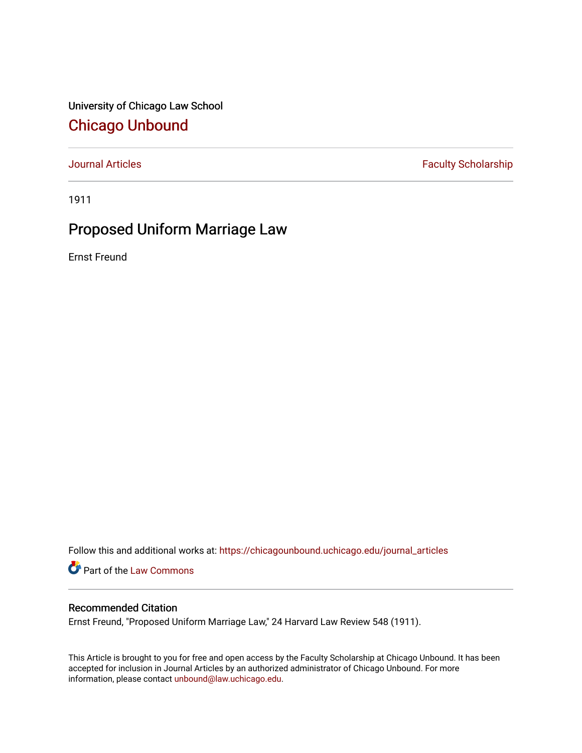University of Chicago Law School [Chicago Unbound](https://chicagounbound.uchicago.edu/)

[Journal Articles](https://chicagounbound.uchicago.edu/journal_articles) **Faculty Scholarship Faculty Scholarship** 

1911

## Proposed Uniform Marriage Law

Ernst Freund

Follow this and additional works at: [https://chicagounbound.uchicago.edu/journal\\_articles](https://chicagounbound.uchicago.edu/journal_articles?utm_source=chicagounbound.uchicago.edu%2Fjournal_articles%2F7824&utm_medium=PDF&utm_campaign=PDFCoverPages) 

Part of the [Law Commons](http://network.bepress.com/hgg/discipline/578?utm_source=chicagounbound.uchicago.edu%2Fjournal_articles%2F7824&utm_medium=PDF&utm_campaign=PDFCoverPages)

## Recommended Citation

Ernst Freund, "Proposed Uniform Marriage Law," 24 Harvard Law Review 548 (1911).

This Article is brought to you for free and open access by the Faculty Scholarship at Chicago Unbound. It has been accepted for inclusion in Journal Articles by an authorized administrator of Chicago Unbound. For more information, please contact [unbound@law.uchicago.edu](mailto:unbound@law.uchicago.edu).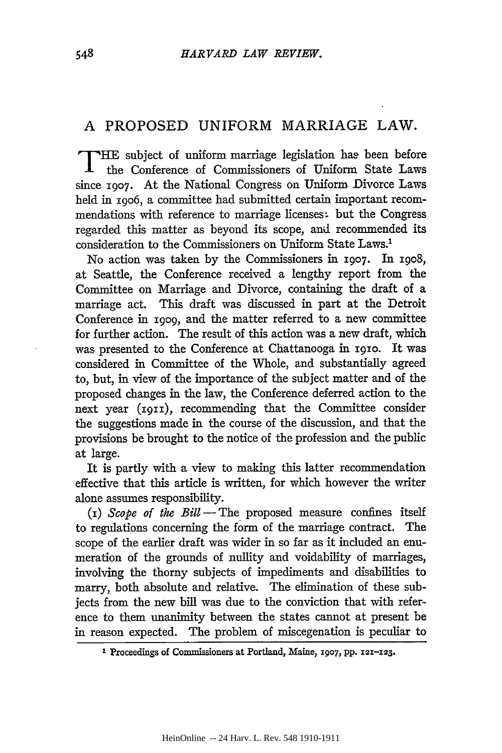## **A** PROPOSED UNIFORM MARRIAGE LAW.

THE subject of uniform marriage legislation has been before the Conference of Commissioners of Uniform State Laws since 1907. At the National Congress on Uniform Divorce Laws held in 1906, a committee had submitted certain important recommendations with reference to marriage licenses- but the Congress regarded this matter as beyond its scope, and recommended its consideration to the Commissioners on Uniform State Laws.'

No action was taken by the Commissioners in 1907. In **19o8,** at Seattle, the Conference received a lengthy report from the Committee on Marriage and Divorce, containing the draft of a marriage act. This draft was discussed in part at the Detroit Conference in **19o9,** and the matter referred to a new committee for further action. The result of this action was a new draft, which was presented to the Conference at Chattanooga in **19Io.** It was considered in Committee of the Whole, and substantially agreed to, but, in view of the importance of the subject matter and of the proposed changes in the law, the Conference deferred action to the next year **(191I),** recommending that the Committee consider the suggestions made in the course of the discussion, and that the provisions be brought to the notice of the profession and the public at large.

It is partly with a view to making this latter recommendation effective that this article is written, for which however the writer alone assumes responsibility.

 $(i)$  *Scope of the Bill* – The proposed measure confines itself to regulations concerning the form of the marriage contract. The scope of the earlier draft was wider in so far as it included an enumeration of the grounds of nullity and voidability of marriages, involving the thorny subjects of impediments and disabilities to marry, both absolute and relative. The elimination of these subjects from the new bill was due to the conviction that with reference to them unanimity between the states cannot at present be in reason expected. The problem of miscegenation is peculiar to

<sup>&</sup>lt;sup>1</sup> Proceedings of Commissioners at Portland, Maine, **1907**, **pp. 121-123**.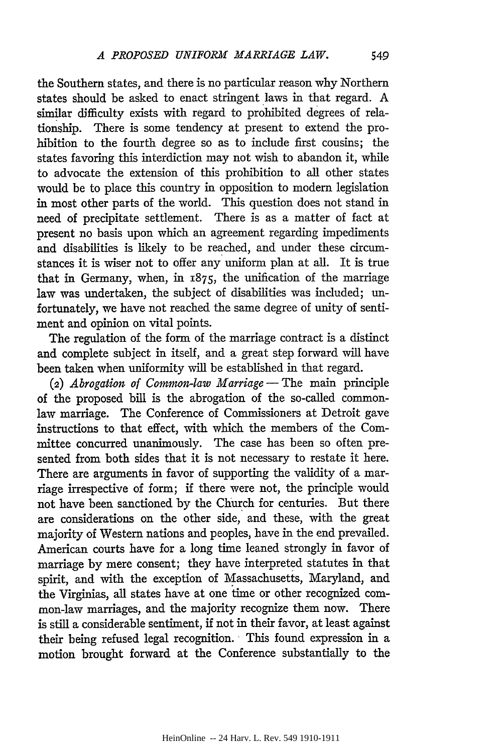the Southern states, and there is no particular reason why Northern states should be asked to enact stringent laws in that regard. A similar difficulty exists with regard to prohibited degrees of relationship. There is some tendency at present to extend the prohibition to the fourth degree so as to include first cousins; the states favoring this interdiction may not wish to abandon it, while to advocate the extension of this prohibition to all other states would be to place this country in opposition to modem legislation in most other parts of the world. This question does not stand in need of precipitate settlement. There is as a matter of fact at present no basis upon which an agreement regarding impediments and disabilities is likely to be reached, and under these circumstances it is wiser not to offer any uniform plan at all. It is true that in Germany, when, in 1875, the unification of the marriage law was undertaken, the subject of disabilities was included; unfortunately, we have not reached the same degree of unity of sentiment and opinion on vital points.

The regulation of the form of the marriage contract is a distinct and complete subject in itself, and a great step forward will have been taken when uniformity will be established in that regard.

*(2) Abrogation of Common-law Marriage-* The main principle of the proposed bill is the abrogation of the so-called commonlaw marriage. The Conference of Commissioners at Detroit gave instructions to that effect, with which the members of the Committee concurred unanimously. The case has been so often presented from both sides that it is not necessary to restate it here. There are arguments in favor of supporting the validity of a marriage irrespective of form; if there were not, the principle would not have been sanctioned by the Church for centuries. But there are considerations on the other side, and these, with the great majority of Western nations and peoples, have in the end prevailed. American courts have for a long time leaned strongly in favor of marriage by mere consent; they have interpreted statutes in that spirit, and with the exception of Massachusetts, Maryland, and the Virginias, all states have at one time or other recognized common-law marriages, and the majority recognize them now. There is still a considerable sentiment, if not in their favor, at least against their being refused legal recognition. This found expression in a motion brought forward at the Conference substantially to the

549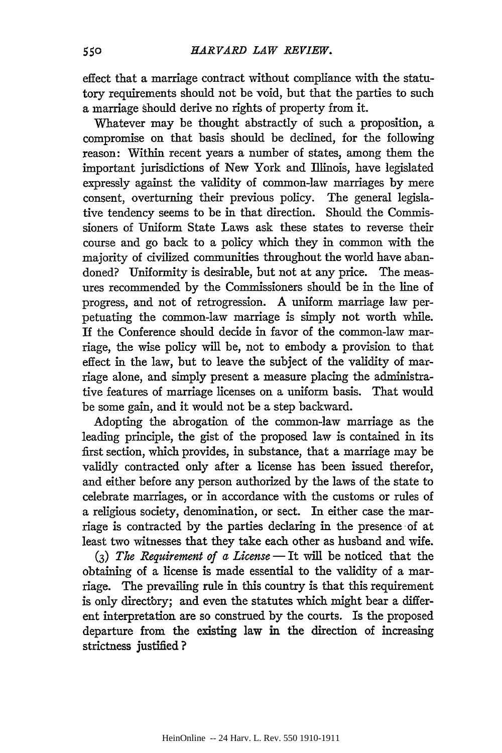effect that a marriage contract without compliance with the statutory requirements should not be void, but that the parties to such a marriage should derive no rights of property from it.

Whatever may be thought abstractly of such a proposition, a compromise on that basis should be declined, for the following reason: Within recent years a number of states, among them the important jurisdictions of New York and Illinois, have legislated expressly against the validity of common-law marriages by mere consent, overturning their previous policy. The general legislative tendency seems to be in that direction. Should the Commissioners of Uniform State Laws ask these states to reverse their course and go back to a policy which they in common with the majority of civilized communities throughout the world have abandoned? Uniformity is desirable, but not at any price. The measures recommended by the Commissioners should be in the line of progress, and not of retrogression. A uniform marriage law perpetuating the common-law marriage is simply not worth while. If the Conference should decide in favor of the common-law marriage, the wise policy will be, not to embody a provision to that effect in the law, but to leave the subject of the validity of marriage alone, and simply present a measure placing the administrative features of marriage licenses on a uniform basis. That would be some gain, and it would not be a step backward.

Adopting the abrogation of the common-law marriage as the leading principle, the gist of the proposed law is contained in its first section, which provides, in substance, that a marriage may be validly contracted only after a license has been issued therefor, and either before any person authorized by the laws of the state to celebrate marriages, or in accordance with the customs or rules of a religious society, denomination, or sect. In either case the marriage is contracted by the parties declaring in the presence of at least two witnesses that they take each other as husband and wife.

 $(3)$  *The Requirement of a License* — It will be noticed that the obtaining of a license is made essential to the validity of a marriage. The prevailing rule in this country is that this requirement is only directory; and even the statutes which might bear a different interpretation are so construed by the courts. Is the proposed departure from the existing law in the direction of increasing strictness justified **?**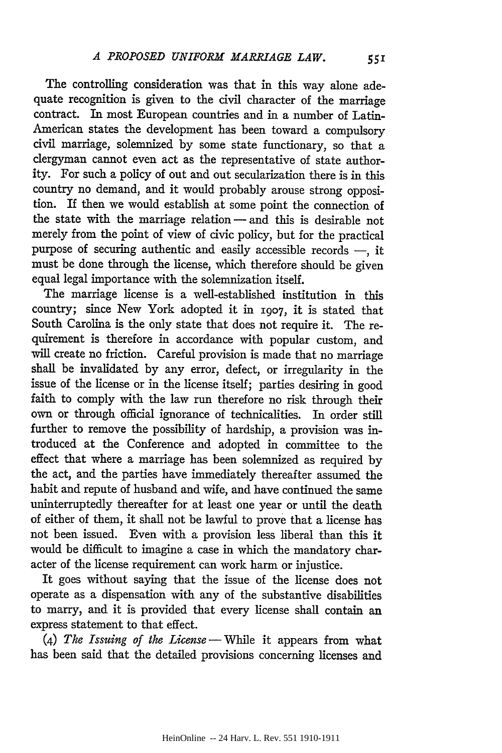The controlling consideration was that in this way alone adequate recognition is given to the civil character of the marriage contract. In most European countries and in a number of Latin-American states the development has been toward a compulsory civil marriage, solemnized by some state functionary, so that a clergyman cannot even act as the representative of state authority. For such a policy of out and out secularization there is in this country no demand, and it would probably arouse strong opposition. If then we would establish at some point the connection of the state with the marriage relation- and this is desirable not merely from the point of view of civic policy, but for the practical purpose of securing authentic and easily accessible records  $-$ , it must be done through the license, which therefore should be given equal legal importance with the solemnization itself.

The marriage license is a well-established institution in this country; since New York adopted it in **1907,** it is stated that South Carolina is the only state that does not require it. The requirement is therefore in accordance with popular custom, and will create no friction. Careful provision is made that no marriage shall be invalidated by any error, defect, or irregularity in the issue of the license or in the license itself; parties desiring in good faith to comply with the law run therefore no risk through their own or through official ignorance of technicalities. In order still further to remove the possibility of hardship, a provision was introduced at the Conference and adopted in committee to the effect that where a marriage has been solemnized as required by the act, and the parties have immediately thereafter assumed the habit and repute of husband and wife, and have continued the same uninterruptedly thereafter for at least one year or until the death of either of them, it shall not be lawful to prove that a license has not been issued. Even with a provision less liberal than this it would be difficult to imagine a case in which the mandatory character of the license requirement can work harm or injustice.

It goes without saying that the issue of the license does not operate as a dispensation with any of the substantive disabilities to marry, and it is provided that every license shall contain an express statement to that effect.

*(4) The Issuing of the license* **-** While it appears from what has been said that the detailed provisions concerning licenses and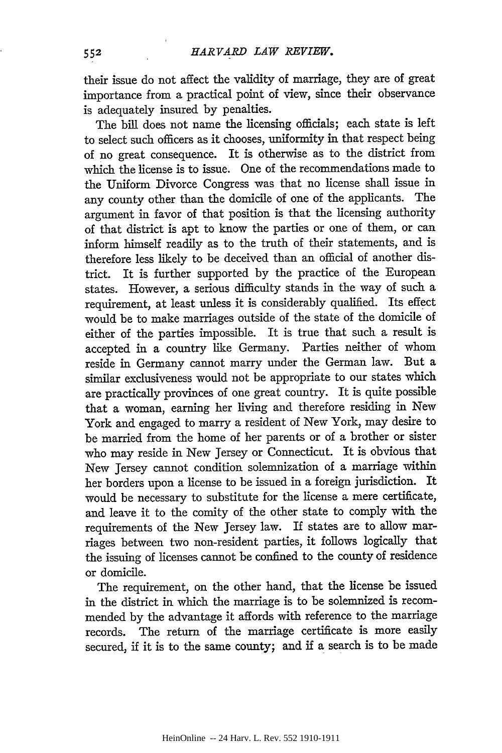their issue do not affect the validity of marriage, they are of great importance from a practical point of view, since their observance is adequately insured by penalties.

The bill does not name the licensing officials; each state is left to select such officers as it chooses, uniformity in that respect being of no great consequence. It is otherwise as to the district from which the license is to issue. One of the recommendations made to the Uniform Divorce Congress was that no license shall issue in any county other than the domicile of one of the applicants. The argument in favor of that position is that the licensing authority of that district is apt to know the parties or one of them, or can inform himself readily as to the truth of their statements, and is therefore less likely to be deceived than an official of another district. It is further supported by the practice of the European states. However, a serious difficulty stands in the way of such a requirement, at least unless it is considerably qualified. Its effect would be to make marriages outside of the state of the domicile of either of the parties impossible. It is true that such a result is accepted in a country like Germany. Parties neither of whom reside in Germany cannot marry under the German law. But a similar exclusiveness would not be appropriate to our states which are practically provinces of one great country. It is quite possible that a woman, earning her living and therefore residing in New York and engaged to marry a resident of New York, may desire to be married from the home of her parents or of a brother or sister who may reside in New Jersey or Connecticut. It is obvious that New Jersey cannot condition solemnization of a marriage within her borders upon a license to be issued in a foreign jurisdiction. It would be necessary to substitute for the license a mere certificate, and leave it to the comity of the other state to comply with the requirements of the New Jersey law. If states are to allow marriages between two non-resident parties, it follows logically that the issuing of licenses cannot be confined to the county of residence or domicile.

The requirement, on the other hand, that the license be issued in the district in which the marriage is to be solemnized is recommended by the advantage it affords with reference to the marriage records. The return of the marriage certificate is more easily secured, if it is to the same county; and if a search is to be made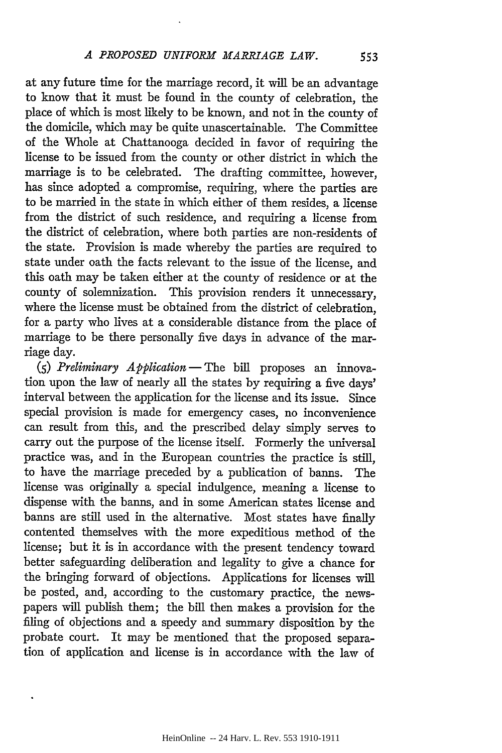at any future time for the marriage record, it will be an advantage to know that it must be found in the county of celebration, the place of which is most likely to be known, and not in the county of the domicile, which may be quite unascertainable. The Committee of the Whole at Chattanooga decided in favor of requiring the license to be issued from the county or other district in which the marriage is to be celebrated. The drafting committee, however, has since adopted a compromise, requiring, where the parties are to be married in the state in which either of them resides, a license from the district of such residence, and requiring a license from the district of celebration, where both parties are non-residents of the state. Provision is made whereby the parties are required to state under oath the facts relevant to the issue of the license, and this oath may be taken either at the county of residence or at the county of solemnization. This provision renders it unnecessary, where the license must be obtained from the district of celebration, for a party who lives at a considerable distance from the place of marriage to be there personally five days in advance of the marriage day.

*(5) Preliminary Application* **-** The bill proposes an innovation upon the law of nearly all the states by requiring a five days' interval between the application for the license and its issue. Since special provision is made for emergency cases, no inconvenience can result from this, and the prescribed delay simply serves to carry out the purpose of the license itself. Formerly the universal practice was, and in the European countries the practice is still, to have the marriage preceded by a publication of banns. The license was originally a special indulgence, meaning a license to dispense with the banns, and in some American states license and banns are still used in the alternative. Most states have finally contented themselves with the more expeditious method of the license; but it is in accordance with the present tendency toward better safeguarding deliberation and legality to give a chance for the bringing forward of objections. Applications for licenses will be posted, and, according to the customary practice, the newspapers will publish them; the bill then makes a provision for the filing of objections and a speedy and summary disposition by the probate court. It may be mentioned that the proposed separation of application and license is in accordance with the law of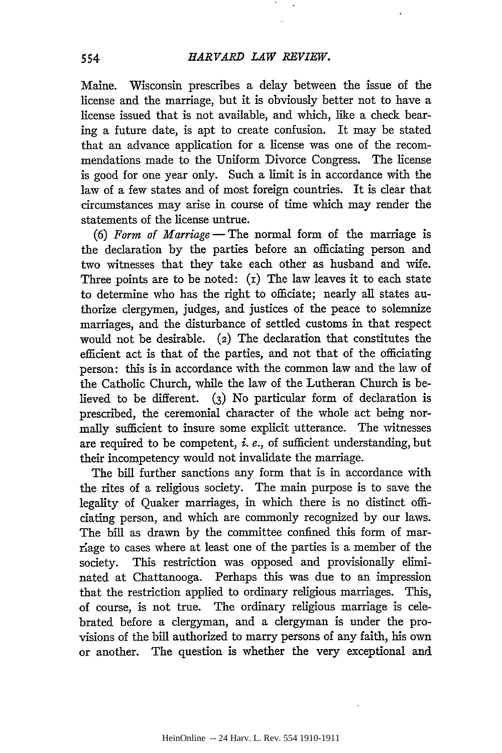Maine. Wisconsin prescribes a delay between the issue of the license and the marriage, but it is obviously better not to have a license issued that is not available, and which, like a check bearing a future date, is apt to create confusion. It may be stated that an advance application for a license was one of the recommendations made to the Uniform Divorce Congress. The license is good for one year only. Such a limit is in accordance with the law of a few states and of most foreign countries. It is clear that circumstances may arise in course of time which may render the statements of the license untrue.

(6) Form of Marriage – The normal form of the marriage is the declaration by the parties before an officiating person and two witnesses that they take each other as husband and wife. Three points are to be noted:  $(i)$  The law leaves it to each state to determine who has the right to officiate; nearly all states authorize clergymen, judges, and justices of the peace to solemnize marriages, and the disturbance of settled customs in that respect would not be desirable. (2) The declaration that constitutes the efficient act is that of the parties, and not that of the officiating person: this is in accordance with the common law and the law of the Catholic Church, while the law of the Lutheran Church is believed to be different. **(3)** No particular form of declaration is prescribed, the ceremonial character of the whole act being normally sufficient to insure some explicit utterance. The witnesses are required to be competent, *i.* e., of sufficient understanding, but their incompetency would not invalidate the marriage.

The bill further sanctions any form that is in accordance with the rites of a religious society. The main purpose is to save the legality of Quaker marriages, in which there is no distinct officiating person, and which are commonly recognized by our laws. The bill as drawn by the committee confined this form of marriage to cases where at least one of the parties is a member of the society. This restriction was opposed and provisionally eliminated at Chattanooga. Perhaps this was due to an impression that the restriction applied to ordinary religious marriages. This, of course, is not true. The ordinary religious marriage is celebrated before a clergyman, and a clergyman is under the provisions of the bill authorized to marry persons of any faith, his own or another. The question is whether the very exceptional and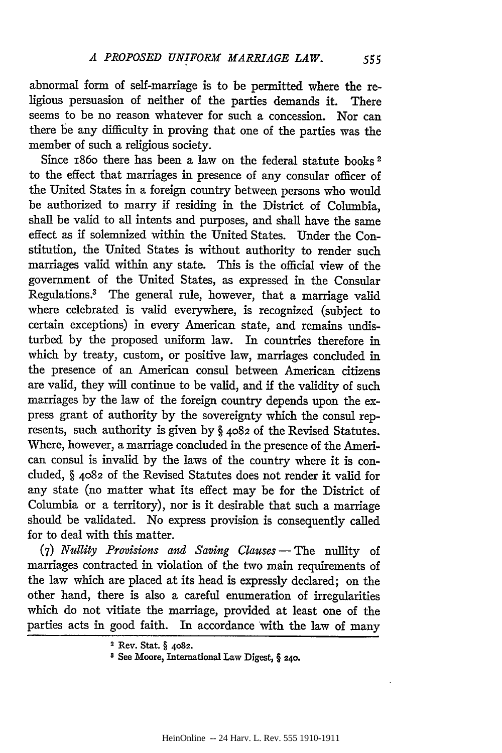abnormal form of self-marriage is to be permitted where the religious persuasion of neither of the parties demands it. There seems to be no reason whatever for such a concession. Nor can there be any difficulty in proving that one of the parties was the member of such a religious society.

Since 1860 there has been a law on the federal statute books<sup>2</sup> to the effect that marriages in presence of any consular officer of the United States in a foreign country between persons who would be authorized to marry if residing in the District of Columbia, shall be valid to all intents and purposes, and shall have the same effect as if solemnized within the United States. Under the Constitution, the United States is without authority to render such marriages valid within any state. This is the official view of the government of the United States, as expressed in the Consular Regulations.<sup>3</sup> The general rule, however, that a marriage valid where celebrated is valid everywhere, is recognized (subject to certain exceptions) in every American state, and remains undisturbed by the proposed uniform law. In countries therefore in which by treaty, custom, or positive law, marriages concluded in the presence of an American consul between American citizens are valid, they will continue to be valid, and if the validity of such marriages by the law of the foreign country depends upon the express grant of authority by the sovereignty which the consul represents, such authority is given by § 4082 of the Revised Statutes. Where, however, a marriage concluded in the presence of the American consul is invalid by the laws of the country where it is concluded, § 4082 of the Revised Statutes does not render it valid for any state (no matter what its effect may be for the District of Columbia or a territory), nor is it desirable that such a marriage should be validated. No express provision is consequently called for to deal with this matter.

*(7) Nullity Provisions and Saving Clauses* **-** The nullity of marriages contracted in violation of the two main requirements of the law which are placed at its head is expressly declared; on the other hand, there is also a careful enumeration of irregularities which do not vitiate the marriage, provided at least one of the parties acts in good faith. In accordance 'with the law of many

**<sup>2</sup>** Rev. Stat. § **4082.**

**<sup>3</sup>** See Moore, International Law Digest, § **240.**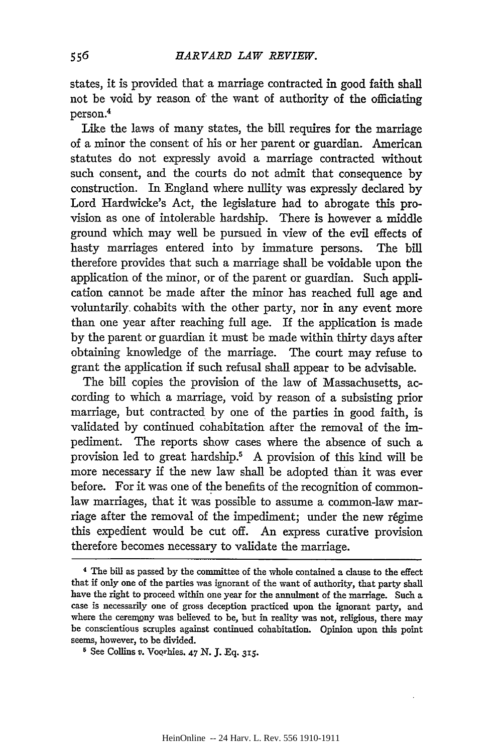states, it is provided that a marriage contracted in good faith shall not be void by reason of the want of authority of the officiating person. 4

Like the laws of many states, the bill requires for the marriage of a minor the consent of his or her parent or guardian. American statutes do not expressly avoid a marriage contracted without such consent, and the courts do not admit that consequence by construction. In England where nullity was expressly declared by Lord Hardwicke's Act, the legislature had to abrogate this provision as one of intolerable hardship. There is however a middle ground which may well be pursued in view of the evil effects of hasty marriages entered into by immature persons. The bill therefore provides that such a marriage shall be voidable upon the application of the minor, or of the parent or guardian. Such application cannot be made after the minor has reached full age and voluntarily, cohabits with the other party, nor in any event more than one year after reaching full age. If the application is made by the parent or guardian it must be made within thirty days after obtaining knowledge of the marriage. The court may refuse to grant the application if such refusal shall appear to be advisable.

The bill copies the provision of the law of Massachusetts, according to which a marriage, void by reason of a subsisting prior marriage, but contracted by one of the parties in good faith, is validated by continued cohabitation after the removal of the impediment. The reports show cases where the absence of such a provision led to great hardship.5 A provision of this kind will be more necessary if the new law shall be adopted than it was ever before. For it was one of the benefits of the recognition of commonlaw marriages, that it was possible to assume a common-law marriage after the removal of the impediment; under the new regime this expedient would be cut off. An express curative provision therefore becomes necessary to validate the marriage.

**<sup>4</sup>** The bill as passed **by** the committee of the whole contained a clause to the effect that **if** only one of the parties was ignorant of the want of authority, that party shall have the right to proceed within one year for the annulment of the marriage. Such a case is necessarily one of gross deception practiced upon the ignorant party, and where the ceremony was believed to be, but in reality was not, religious, there may be conscientious scruples against continued cohabitation. Opinion upon this point seems, however, to be divided.

r See Collins *v.* VoQrhies. 47 **N. J. Eq. 315.**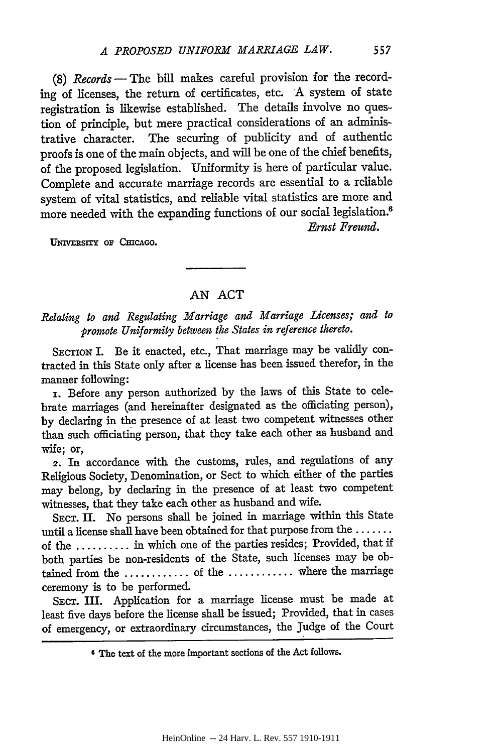(8) *Records* — The bill makes careful provision for the recording of licenses, the return of certificates, etc. A system of state registration is likewise established. The details involve no question of principle, but mere practical considerations of an administrative character. The securing of publicity and of authentic proofs is one of the main objects, and will be one of the chief benefits, of the proposed legislation. Uniformity is here of particular value. Complete and accurate marriage records are essential to a reliable system of vital statistics, and reliable vital statistics are more and more needed with the expanding functions of our social legislation.6

*Ernst Freund.*

**UNIVERSITY OF CHICAGO.** 

## AN ACT

*Relating to and Regulating Marriage and Marriage Licenses; and to promote Uniformity between the States in reference thereto.*

SECTION I. Be it enacted, etc., That marriage may be validly contracted in this State only after a license has been issued therefor, in the manner following:

i. Before any person authorized by the laws of this State to celebrate marriages (and hereinafter designated as the officiating person), by declaring in the presence of at least two competent witnesses other than such officiating person, that they take each other as husband and wife; or,

2. In accordance with the customs, rules, and regulations of any Religious Society, Denomination, or Sect to which either of the parties may belong, by declaring in the presence of at least two competent witnesses, that they take each other as husband and wife.

SECT. II. No persons shall be joined in marriage within this State until a license shall have been obtained for that purpose from the **.......** of the .......... in which one of the parties resides; Provided, that if both parties be non-residents of the State, such licenses may be obtained from the ............ of the ............ where the marriage ceremony is to be performed.

**SECT.** II. Application for a marriage license must be made at least five days before the license shall be issued; Provided, that in cases of emergency, or extraordinary circumstances, the Judge of the Court

<sup>6</sup> The text of the more important sections of the Act follows.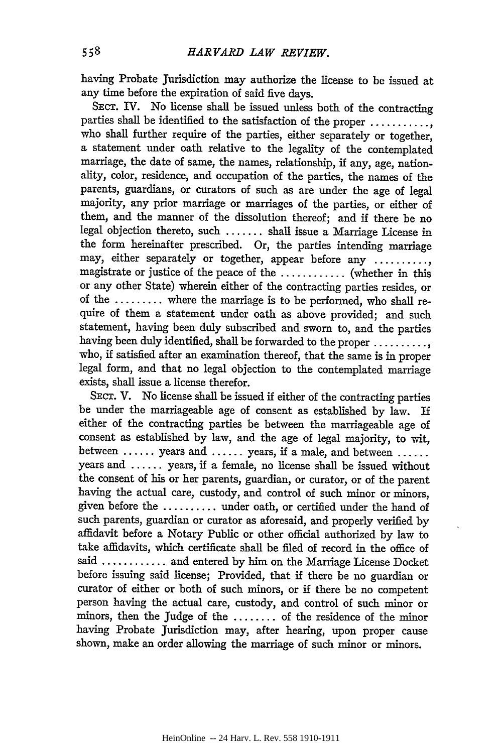having Probate Jurisdiction may authorize the license to be issued at any time before the expiration of said five days.

**SEcT.** IV. No license shall be issued unless both of the contracting parties shall be identified to the satisfaction of the proper ........... who shall further require of the parties, either separately or together, a statement under oath relative to the legality of the contemplated marriage, the date of same, the names, relationship, if any, age, nationality, color, residence, and occupation of the parties, the names of the parents, guardians, or curators of such as are under the age of legal majority, any prior marriage or marriages of the parties, or either of them, and the manner of the dissolution thereof; and if there be no legal objection thereto, such ....... shall issue a Marriage License in the form hereinafter prescribed. Or, the parties intending marriage may, either separately or together, appear before any .......... magistrate or justice of the peace of the ............ (whether in this or any other State) wherein either of the contracting parties resides, or of the ......... where the marriage is to be performed, who shall require of them a statement under oath as above provided; and such statement, having been duly subscribed and sworn to, and the parties having been duly identified, shall be forwarded to the proper .......... who, if satisfied after an examination thereof, that the same is in proper legal form, and that no legal objection to the contemplated marriage exists, shall issue a license therefor.

**SECT.** V. No license shall be issued if either of the contracting parties be under the marriageable age of consent as established by law. If either of the contracting parties be between the marriageable age of consent as established by law, and the age of legal majority, to wit, between ...... years and ...... years, if a male, and between **......** years and ...... years, if a female, no license shall be issued without the consent of his or her parents, guardian, or curator, or of the parent having the actual care, custody, and control of such minor or minors, given before the .......... under oath, or certified under the hand of such parents, guardian or curator as aforesaid, and properly verified by affidavit before a Notary Public or other official authorized by law to take affidavits, which certificate shall be filed of record in the office of said ............ and entered by him on the Marriage License Docket before issuing said license; Provided, that if there be no guardian or curator of either or both of such minors, or if there be no competent person having the actual care, custody, and control of such minor or minors, then the judge of the ........ of the residence of the minor having Probate jurisdiction may, after hearing, upon proper cause shown, make an order allowing the marriage of such minor or minors.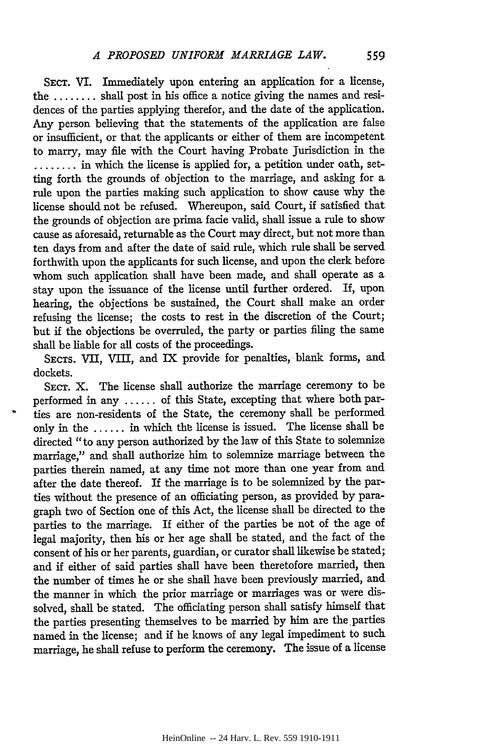**SECT.** VI. Immediately upon entering an application for a license, the ........ shall post in his office a notice giving the names and residences of the parties applying therefor, and the date of the application. Any person believing that the statements of the application are false or insufficient, or that the applicants or either of them are incompetent to marry, may file with the Court having Probate Jurisdiction in the **........** in which the license is applied for, a petition under oath, setting forth the grounds of objection to the marriage, and asking for a rule upon the parties making such application to show cause why the license should not be refused. Whereupon, said Court, if satisfied that the grounds of objection are prima *facie* valid, shall issue a rule to show cause as aforesaid, returnable as the Court may direct, but not more than ten days from and after the date of said rule, which rule shall be served forthwith upon the applicants for such license, and upon the clerk before whom such application shall have been made, and shall operate as a stay upon the issuance of the license until further ordered. If, upon hearing, the objections be sustained, the Court shall make an order refusing the license; the costs to rest in the discretion of the Court; but if the objections be overruled, the party or parties filing the same shall be liable for all costs of the proceedings.

SECTS. VII, VIII, and IX provide for penalties, blank forms, and dockets.

**SECT.** X. The license shall authorize the marriage ceremony to be performed in any ...... of this State, excepting that where both parties are non-residents of the State, the ceremony shall be performed only in the ...... in which tht license is issued. The license shall be directed "to any person authorized by the law of this State to solemnize marriage," and shall authorize him to solemnize marriage between the parties therein named, at any time not more than one year from and after the date thereof. If the marriage is to be solemnized by the parties without the presence of an officiating person, as provided by paragraph two of Section one of this Act, the license shall be directed to the parties to the marriage. If either of the parties be not of the age of legal majority, then his or her age shall be stated, and the fact of the consent of his or her parents, guardian, or curator shall likewise be stated; and if either of said parties shall have been theretofore married, then the number of times he or she shall have been previously married, and the manner in which the prior marriage or marriages was or were dissolved, shall be stated. The officiating person shall satisfy himself that the parties presenting themselves to be married by him are the parties named in the license; and if he knows of any legal impediment to such marriage, he shall refuse to perform the ceremony. The issue of a license

559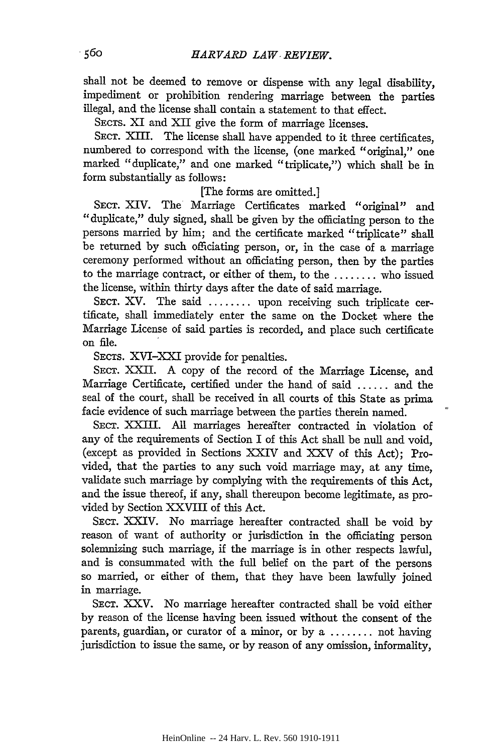shall not be deemed to remove or dispense with any legal disability, impediment or prohibition rendering marriage between the parties illegal, and the license shall contain a statement to that effect.

**SECTS.** XI and XII give the form of marriage licenses.

**SECT.** XIII. The license shall have appended to it three certificates, numbered to correspond with the license, (one marked "original," one marked "duplicate," and one marked "triplicate,") which shall be in form substantially as follows:

[The forms are omitted.]

**SECr.** XIV. The Marriage Certificates marked "original" and "duplicate," duly signed, shall be given by the officiating person to the persons married by him; and the certificate marked "triplicate" shall be returned by such officiating person, or, in the case of a marriage ceremony performed without an officiating person, then by the parties to the marriage contract, or either of them, to the ........ who issued the license, within thirty days after the date of said marriage.

**SECT.** XV. The said ........ upon receiving such triplicate certificate, shall immediately enter the same on the Docket where the Marriage License of said parties is recorded, and place such certificate on file.

**SECTS.** XVI-XXI provide for penalties.

SECT. XXII. A copy of the record of the Marriage License, and Marriage Certificate, certified under the hand of said ...... and the seal of the court, shall be received in all courts of this State as prima facie evidence of such marriage between the parties therein named.

**SECT.** XXIII. All marriages hereafter contracted in violation of any of the requirements of Section I of this Act shall be null and void, (except as provided in Sections XXIV and XXV of this Act); Provided, that the parties to any such void marriage may, at any time, validate such marriage by complying with the requirements of this Act, and the issue thereof, if any, shall thereupon become legitimate, as provided by Section XXVIII of this Act.

**SECT.** XXIV. No marriage hereafter contracted shall be void by reason of want of authority or jurisdiction in the officiating person solemnizing such marriage, if the marriage is in other respects lawful, and is consummated with the full belief on the part of the persons so married, or either of them, that they have been lawfully joined in marriage.

**SECT.** XXV. No marriage hereafter contracted shall be void either by reason of the license having been issued without the consent of the parents, guardian, or curator of a minor, or by a ........ not having jurisdiction to issue the same, or by reason of any omission, informality,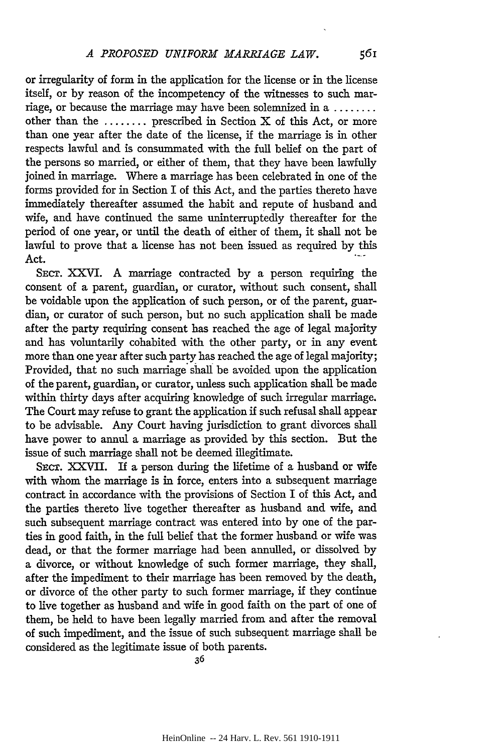or irregularity of form in the application for the license or in the license itself, or by reason of the incompetency of the witnesses to such marriage, or because the marriage may have been solemnized in a ........ other than the ........ prescribed in Section X of this Act, or more than one year after the date of the license, if the marriage is in other respects lawful and is consummated with the full belief on the part of the persons so married, or either of them, that they have been lawfully joined in marriage. Where a marriage has been celebrated in one of the forms provided for in Section I of this Act, and the parties thereto have immediately thereafter assumed the habit and repute of husband and wife, and have continued the same uninterruptedly thereafter for the period of one year, or until the death of either of them, it shall not be lawful to prove that a license has not been issued as required by this Act.

**SECT. XXVI.** A marriage contracted by a person requiring the consent of a parent, guardian, or curator, without such consent, shall be voidable upon the application of such person, or of the parent, guardian, or curator of such person, but no such application shall be made after the party requiring consent has reached the age of legal majority and has voluntarily cohabited with the other party, or in any event more than one year after such party has reached the age of legal majority; Provided, that no such marriage shall be avoided upon the application of the parent, guardian, or curator, unless such application shall be made within thirty days after acquiring knowledge of such irregular marriage. The Court may refuse to grant the application if such refusal shall appear to be advisable. Any Court having jurisdiction to grant divorces shall have power to annul a marriage as provided by this section. But the issue of such marriage shall not be deemed illegitimate.

SEcT. XXVII. If a person during the lifetime of a husband or wife with whom the marriage is in force, enters into a subsequent marriage contract in accordance with the provisions of Section I of this Act, and the parties thereto live together thereafter as husband and wife, and such subsequent marriage contract was entered into by one of the parties in good faith, in the full belief that the former husband or wife was dead, or that the former marriage had been annulled, or dissolved by a divorce, or without knowledge of such former marriage, they shall, after the impediment to their marriage has been removed by the death, or divorce of the other party to such former marriage, if they continue to live together as husband and wife in good faith on the part of one of them, be held to have been legally married from and after the removal of such impediment, and the issue of such subsequent marriage shall be considered as the legitimate issue of both parents.

**36**

HeinOnline -- 24 Harv. L. Rev. 561 1910-1911